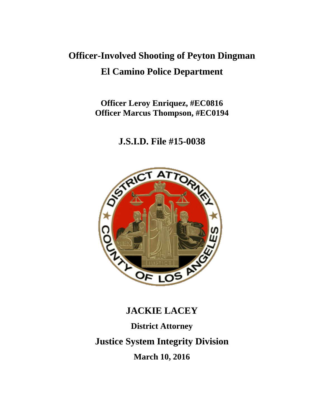# **Officer-Involved Shooting of Peyton Dingman El Camino Police Department**

**Officer Leroy Enriquez, #EC0816 Officer Marcus Thompson, #EC0194**

**J.S.I.D. File #15-0038**



# **JACKIE LACEY District Attorney Justice System Integrity Division March 10, 2016**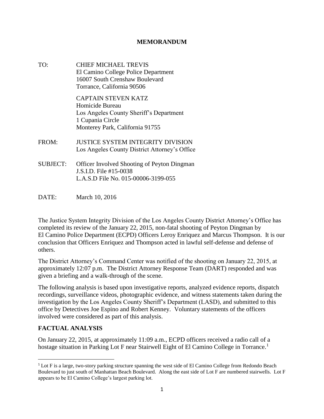#### **MEMORANDUM**

- TO: CHIEF MICHAEL TREVIS El Camino College Police Department 16007 South Crenshaw Boulevard Torrance, California 90506 CAPTAIN STEVEN KATZ Homicide Bureau Los Angeles County Sheriff's Department 1 Cupania Circle Monterey Park, California 91755 FROM: JUSTICE SYSTEM INTEGRITY DIVISION Los Angeles County District Attorney's Office SUBJECT: Officer Involved Shooting of Peyton Dingman J.S.I.D. File #15-0038 L.A.S.D File No. 015-00006-3199-055
- DATE: March 10, 2016

The Justice System Integrity Division of the Los Angeles County District Attorney's Office has completed its review of the January 22, 2015, non-fatal shooting of Peyton Dingman by El Camino Police Department (ECPD) Officers Leroy Enriquez and Marcus Thompson. It is our conclusion that Officers Enriquez and Thompson acted in lawful self-defense and defense of others.

The District Attorney's Command Center was notified of the shooting on January 22, 2015, at approximately 12:07 p.m. The District Attorney Response Team (DART) responded and was given a briefing and a walk-through of the scene.

The following analysis is based upon investigative reports, analyzed evidence reports, dispatch recordings, surveillance videos, photographic evidence, and witness statements taken during the investigation by the Los Angeles County Sheriff's Department (LASD), and submitted to this office by Detectives Joe Espino and Robert Kenney. Voluntary statements of the officers involved were considered as part of this analysis.

# **FACTUAL ANALYSIS**

 $\overline{\phantom{a}}$ 

On January 22, 2015, at approximately 11:09 a.m., ECPD officers received a radio call of a hostage situation in Parking Lot F near Stairwell Eight of El Camino College in Torrance.<sup>1</sup>

<sup>1</sup> Lot F is a large, two-story parking structure spanning the west side of El Camino College from Redondo Beach Boulevard to just south of Manhattan Beach Boulevard. Along the east side of Lot F are numbered stairwells. Lot F appears to be El Camino College's largest parking lot.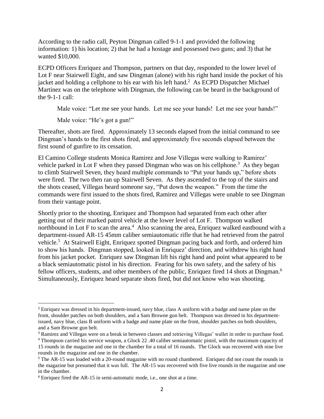According to the radio call, Peyton Dingman called 9-1-1 and provided the following information: 1) his location; 2) that he had a hostage and possessed two guns; and 3) that he wanted \$10,000.

ECPD Officers Enriquez and Thompson, partners on that day, responded to the lower level of Lot F near Stairwell Eight, and saw Dingman (alone) with his right hand inside the pocket of his jacket and holding a cellphone to his ear with his left hand.<sup>2</sup> As ECPD Dispatcher Michael Martinez was on the telephone with Dingman, the following can be heard in the background of the 9-1-1 call:

Male voice: "Let me see your hands. Let me see your hands! Let me see your hands!"

Male voice: "He's got a gun!"

 $\overline{\phantom{a}}$ 

Thereafter, shots are fired. Approximately 13 seconds elapsed from the initial command to see Dingman's hands to the first shots fired, and approximately five seconds elapsed between the first sound of gunfire to its cessation.

El Camino College students Monica Ramirez and Jose Villegas were walking to Ramirez' vehicle parked in Lot F when they passed Dingman who was on his cellphone.<sup>3</sup> As they began to climb Stairwell Seven, they heard multiple commands to "Put your hands up," before shots were fired. The two then ran up Stairwell Seven. As they ascended to the top of the stairs and the shots ceased, Villegas heard someone say, "Put down the weapon." From the time the commands were first issued to the shots fired, Ramirez and Villegas were unable to see Dingman from their vantage point.

Shortly prior to the shooting, Enriquez and Thompson had separated from each other after getting out of their marked patrol vehicle at the lower level of Lot F. Thompson walked northbound in Lot F to scan the area.<sup>4</sup> Also scanning the area, Enriquez walked eastbound with a department-issued AR-15 45mm caliber semiautomatic rifle that he had retrieved from the patrol vehicle.<sup>5</sup> At Stairwell Eight, Enriquez spotted Dingman pacing back and forth, and ordered him to show his hands. Dingman stopped, looked in Enriquez' direction, and withdrew his right hand from his jacket pocket. Enriquez saw Dingman lift his right hand and point what appeared to be a black semiautomatic pistol in his direction. Fearing for his own safety, and the safety of his fellow officers, students, and other members of the public, Enriquez fired 14 shots at Dingman.<sup>6</sup> Simultaneously, Enriquez heard separate shots fired, but did not know who was shooting.

<sup>&</sup>lt;sup>2</sup> Enriquez was dressed in his department-issued, navy blue, class A uniform with a badge and name plate on the front, shoulder patches on both shoulders, and a Sam Browne gun belt. Thompson was dressed in his departmentissued, navy blue, class B uniform with a badge and name plate on the front, shoulder patches on both shoulders, and a Sam Browne gun belt.

<sup>&</sup>lt;sup>3</sup> Ramirez and Villegas were on a break in between classes and retrieving Villegas' wallet in order to purchase food.

<sup>4</sup> Thompson carried his service weapon, a Glock 22 .40 caliber semiautomatic pistol, with the maximum capacity of 15 rounds in the magazine and one in the chamber for a total of 16 rounds. The Glock was recovered with nine live rounds in the magazine and one in the chamber.

<sup>&</sup>lt;sup>5</sup> The AR-15 was loaded with a 20-round magazine with no round chambered. Enriquez did not count the rounds in the magazine but presumed that it was full. The AR-15 was recovered with five live rounds in the magazine and one in the chamber.

<sup>6</sup> Enriquez fired the AR-15 in semi-automatic mode, i.e., one shot at a time.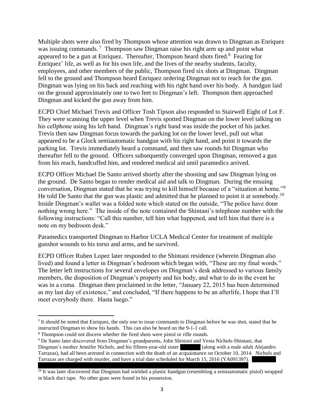Multiple shots were also fired by Thompson whose attention was drawn to Dingman as Enriquez was issuing commands.<sup>7</sup> Thompson saw Dingman raise his right arm up and point what appeared to be a gun at Enriquez. Thereafter, Thompson heard shots fired. $8$  Fearing for Enriquez' life, as well as for his own life, and the lives of the nearby students, faculty, employees, and other members of the public, Thompson fired six shots at Dingman. Dingman fell to the ground and Thompson heard Enriquez ordering Dingman not to reach for the gun. Dingman was lying on his back and reaching with his right hand over his body. A handgun laid on the ground approximately one to two feet to Dingman's left. Thompson then approached Dingman and kicked the gun away from him.

ECPD Chief Michael Trevis and Officer Tosh Tipson also responded to Stairwell Eight of Lot F. They were scanning the upper level when Trevis spotted Dingman on the lower level talking on his cellphone using his left hand. Dingman's right hand was inside the pocket of his jacket. Trevis then saw Dingman focus towards the parking lot on the lower level, pull out what appeared to be a Glock semiautomatic handgun with his right hand, and point it towards the parking lot. Trevis immediately heard a command, and then saw rounds hit Dingman who thereafter fell to the ground. Officers subsequently converged upon Dingman, removed a gun from his reach, handcuffed him, and rendered medical aid until paramedics arrived.

ECPD Officer Michael De Santo arrived shortly after the shooting and saw Dingman lying on the ground. De Santo began to render medical aid and talk to Dingman. During the ensuing conversation, Dingman stated that he was trying to kill himself because of a "situation at home."<sup>9</sup> He told De Santo that the gun was plastic and admitted that he planned to point it at somebody.<sup>10</sup> Inside Dingman's wallet was a folded note which stated on the outside, "The police have done nothing wrong here." The inside of the note contained the Shintani's telephone number with the following instructions: "Call this number, tell him what happened, and tell him that there is a note on my bedroom desk."

Paramedics transported Dingman to Harbor UCLA Medical Center for treatment of multiple gunshot wounds to his torso and arms, and he survived.

ECPD Officer Ruben Lopez later responded to the Shintani residence (wherein Dingman also lived) and found a letter in Dingman's bedroom which began with, "These are my final words." The letter left instructions for several envelopes on Dingman's desk addressed to various family members, the disposition of Dingman's property and his body, and what to do in the event he was in a coma. Dingman then proclaimed in the letter, "January 22, 2015 has been determined as my last day of existence," and concluded, "If there happens to be an afterlife, I hope that I'll meet everybody there. Hasta luego."

 $\overline{\phantom{a}}$ 

<sup>&</sup>lt;sup>7</sup> It should be noted that Enriquez, the only one to issue commands to Dingman before he was shot, stated that he instructed Dingman to show his hands. This can also be heard on the 9-1-1 call.

<sup>&</sup>lt;sup>8</sup> Thompson could not discern whether the fired shots were pistol or rifle rounds.

<sup>9</sup> De Santo later discovered from Dingman's grandparents, John Shintani and Vesta Nichols-Shintani, that Dingman's mother Jennifer Nichols, and his fifteen-year-old sister (along with a male adult Alejandro Tarrazas), had all been arrested in connection with the death of an acquaintance on October 10, 2014. Nichols and Tarrazas are charged with murder, and have a trial date scheduled for March 15, 2016 (YA091397).

<sup>&</sup>lt;sup>10</sup> It was later discovered that Dingman had wielded a plastic handgun (resembling a semiautomatic pistol) wrapped in black duct tape. No other guns were found in his possession.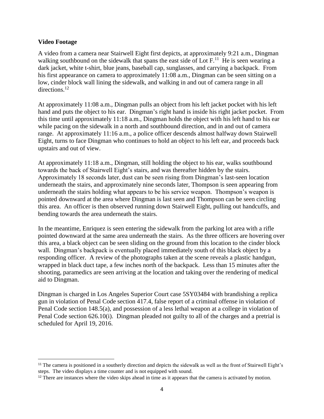#### **Video Footage**

 $\overline{\phantom{a}}$ 

A video from a camera near Stairwell Eight first depicts, at approximately 9:21 a.m., Dingman walking southbound on the sidewalk that spans the east side of Lot  $F<sup>11</sup>$ . He is seen wearing a dark jacket, white t-shirt, blue jeans, baseball cap, sunglasses, and carrying a backpack. From his first appearance on camera to approximately 11:08 a.m., Dingman can be seen sitting on a low, cinder block wall lining the sidewalk, and walking in and out of camera range in all directions.<sup>12</sup>

At approximately 11:08 a.m., Dingman pulls an object from his left jacket pocket with his left hand and puts the object to his ear. Dingman's right hand is inside his right jacket pocket. From this time until approximately 11:18 a.m., Dingman holds the object with his left hand to his ear while pacing on the sidewalk in a north and southbound direction, and in and out of camera range. At approximately 11:16 a.m., a police officer descends almost halfway down Stairwell Eight, turns to face Dingman who continues to hold an object to his left ear, and proceeds back upstairs and out of view.

At approximately 11:18 a.m., Dingman, still holding the object to his ear, walks southbound towards the back of Stairwell Eight's stairs, and was thereafter hidden by the stairs. Approximately 18 seconds later, dust can be seen rising from Dingman's last-seen location underneath the stairs, and approximately nine seconds later, Thompson is seen appearing from underneath the stairs holding what appears to be his service weapon. Thompson's weapon is pointed downward at the area where Dingman is last seen and Thompson can be seen circling this area. An officer is then observed running down Stairwell Eight, pulling out handcuffs, and bending towards the area underneath the stairs.

In the meantime, Enriquez is seen entering the sidewalk from the parking lot area with a rifle pointed downward at the same area underneath the stairs. As the three officers are hovering over this area, a black object can be seen sliding on the ground from this location to the cinder block wall. Dingman's backpack is eventually placed immediately south of this black object by a responding officer. A review of the photographs taken at the scene reveals a plastic handgun, wrapped in black duct tape, a few inches north of the backpack. Less than 15 minutes after the shooting, paramedics are seen arriving at the location and taking over the rendering of medical aid to Dingman.

Dingman is charged in Los Angeles Superior Court case 5SY03484 with brandishing a replica gun in violation of Penal Code section 417.4, false report of a criminal offense in violation of Penal Code section 148.5(a), and possession of a less lethal weapon at a college in violation of Penal Code section 626.10(i). Dingman pleaded not guilty to all of the charges and a pretrial is scheduled for April 19, 2016.

<sup>&</sup>lt;sup>11</sup> The camera is positioned in a southerly direction and depicts the sidewalk as well as the front of Stairwell Eight's steps. The video displays a time counter and is not equipped with sound.

<sup>&</sup>lt;sup>12</sup> There are instances where the video skips ahead in time as it appears that the camera is activated by motion.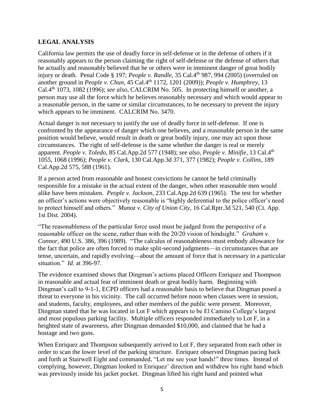## **LEGAL ANALYSIS**

California law permits the use of deadly force in self-defense or in the defense of others if it reasonably appears to the person claiming the right of self-defense or the defense of others that he actually and reasonably believed that he or others were in imminent danger of great bodily injury or death. Penal Code § 197; *People v. Randle*, 35 Cal.4<sup>th</sup> 987, 994 (2005) (overruled on another ground in *People v. Chun*, 45 Cal.4<sup>th</sup> 1172, 1201 (2009)); *People v. Humphrey*, 13 Cal.4th 1073, 1082 (1996); *see also*, CALCRIM No. 505. In protecting himself or another, a person may use all the force which he believes reasonably necessary and which would appear to a reasonable person, in the same or similar circumstances, to be necessary to prevent the injury which appears to be imminent. CALCRIM No. 3470.

Actual danger is not necessary to justify the use of deadly force in self-defense. If one is confronted by the appearance of danger which one believes, and a reasonable person in the same position would believe, would result in death or great bodily injury, one may act upon those circumstances. The right of self-defense is the same whether the danger is real or merely apparent. *People v. Toledo*, 85 Cal.App.2d 577 (1948); *see also, People v. Minifie*, 13 Cal.4th 1055, 1068 (1996); *People v. Clark*, 130 Cal.App.3d 371, 377 (1982); *People v. Collins*, 189 Cal.App.2d 575, 588 (1961).

If a person acted from reasonable and honest convictions he cannot be held criminally responsible for a mistake in the actual extent of the danger, when other reasonable men would alike have been mistaken. *People v. Jackson*, 233 Cal.App.2d 639 (1965). The test for whether an officer's actions were objectively reasonable is "highly deferential to the police officer's need to protect himself and others." *Munoz v. City of Union City*, 16 Cal.Rptr.3d 521, 540 (Ct. App. 1st Dist. 2004).

"The reasonableness of the particular force used must be judged from the perspective of a reasonable officer on the scene, rather than with the 20/20 vision of hindsight." *Graham v. Connor,* 490 U.S. 386, 396 (1989). "The calculus of reasonableness must embody allowance for the fact that police are often forced to make split-second judgments—in circumstances that are tense, uncertain, and rapidly evolving—about the amount of force that is necessary in a particular situation." *Id.* at 396-97.

The evidence examined shows that Dingman's actions placed Officers Enriquez and Thompson in reasonable and actual fear of imminent death or great bodily harm. Beginning with Dingman's call to 9-1-1, ECPD officers had a reasonable basis to believe that Dingman posed a threat to everyone in his vicinity. The call occurred before noon when classes were in session, and students, faculty, employees, and other members of the public were present. Moreover, Dingman stated that he was located in Lot F which appears to be El Camino College's largest and most populous parking facility. Multiple officers responded immediately to Lot F, in a heighted state of awareness, after Dingman demanded \$10,000, and claimed that he had a hostage and two guns.

When Enriquez and Thompson subsequently arrived to Lot F, they separated from each other in order to scan the lower level of the parking structure. Enriquez observed Dingman pacing back and forth at Stairwell Eight and commanded, "Let me see your hands!" three times. Instead of complying, however, Dingman looked in Enriquez' direction and withdrew his right hand which was previously inside his jacket pocket. Dingman lifted his right hand and pointed what